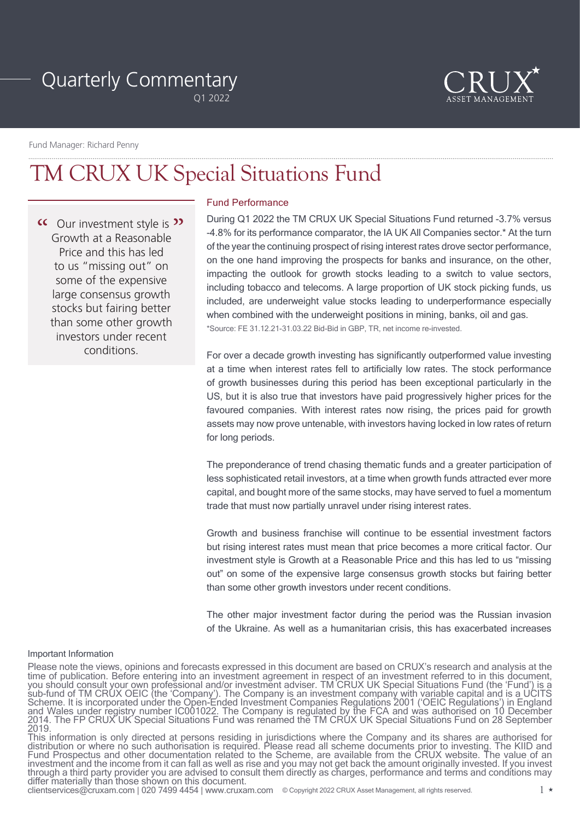# Quarterly Commentary

Q1 2022



Fund Manager: Richard Penny

# TM CRUX UK Special Situations Fund

<sup>"</sup> C Our investment style is"<br>Growth at a Reasonable Growth at a Reasonable Price and this has led to us "missing out" on some of the expensive large consensus growth stocks but fairing better than some other growth investors under recent conditions.

## Fund Performance

During Q1 2022 the TM CRUX UK Special Situations Fund returned -3.7% versus -4.8% for its performance comparator, the IA UK All Companies sector.\* At the turn of the year the continuing prospect of rising interest rates drove sector performance, on the one hand improving the prospects for banks and insurance, on the other, impacting the outlook for growth stocks leading to a switch to value sectors, including tobacco and telecoms. A large proportion of UK stock picking funds, us included, are underweight value stocks leading to underperformance especially when combined with the underweight positions in mining, banks, oil and gas. \*Source: FE 31.12.21-31.03.22 Bid-Bid in GBP, TR, net income re-invested.

For over a decade growth investing has significantly outperformed value investing at a time when interest rates fell to artificially low rates. The stock performance of growth businesses during this period has been exceptional particularly in the US, but it is also true that investors have paid progressively higher prices for the favoured companies. With interest rates now rising, the prices paid for growth assets may now prove untenable, with investors having locked in low rates of return for long periods.

The preponderance of trend chasing thematic funds and a greater participation of less sophisticated retail investors, at a time when growth funds attracted ever more capital, and bought more of the same stocks, may have served to fuel a momentum trade that must now partially unravel under rising interest rates.

Growth and business franchise will continue to be essential investment factors but rising interest rates must mean that price becomes a more critical factor. Our investment style is Growth at a Reasonable Price and this has led to us "missing out" on some of the expensive large consensus growth stocks but fairing better than some other growth investors under recent conditions.

The other major investment factor during the period was the Russian invasion of the Ukraine. As well as a humanitarian crisis, this has exacerbated increases

#### Important Information

clientservices@cruxam.com | 020 7499 4454 | www.cruxam.com @Copyright 2022 CRUX Asset Management, all rights reserved. 1

Please note the views, opinions and forecasts expressed in this document are based on CRUX's research and analysis at the time of publication. Before entering into an investment agreement in respect of an investment referred to in this document, you should consult your own professional and/or investment adviser. TM CRUX UK Special Situations Fund (the 'Fund') is a sub-fund of TM CRUX OEIC (the 'Company'). The Company is an investment company with variable capital and is a UCITS Scheme. It is incorporated under the Open-Ended Investment Companies Regulations 2001 ('OEIC Regulations') in England and Wales under registry number IC001022. The Company is regulated by the FCA and was authorised on 10 December 2014. The FP CRUX UK Special Situations Fund was renamed the TM CRUX UK Special Situations Fund on 28 September<br>2019.

This information is only directed at persons residing in jurisdictions where the Company and its shares are authorised for distribution or where no such authorisation is required. Please read all scheme documents prior to investing. The KIID and Fund Prospectus and other documentation related to the Scheme, are available from the CRUX website. The value of an investment and the income from it can fall as well as rise and you may not get back the amount originally invested. If you invest through a third party provider you are advised to consult them directly as charges, performance and terms and conditions may differ materially than those shown on this document.<br>clientservices@cruxam.com | 020 7499 4454 | www.cruxam.com © Copyright 2022 CRUX Asset Management, all rights reserved.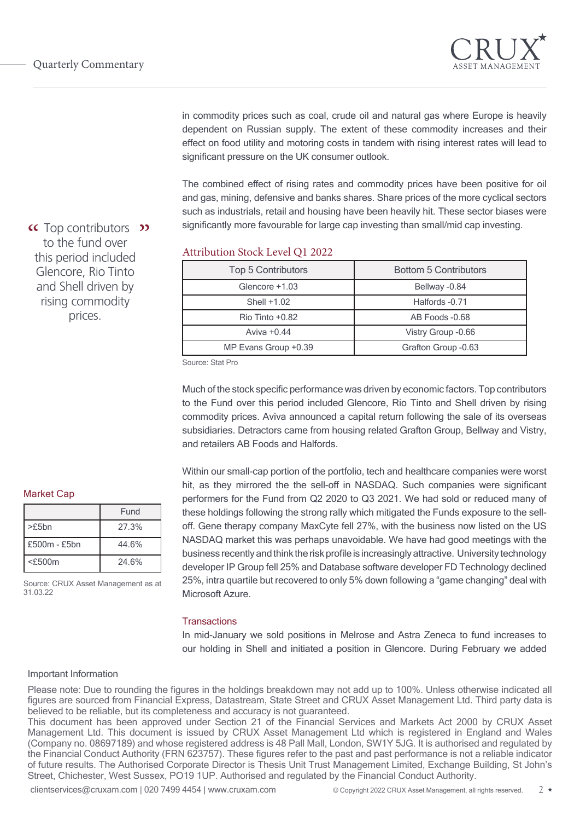

in commodity prices such as coal, crude oil and natural gas where Europe is heavily dependent on Russian supply. The extent of these commodity increases and their effect on food utility and motoring costs in tandem with rising interest rates will lead to significant pressure on the UK consumer outlook.

The combined effect of rising rates and commodity prices have been positive for oil and gas, mining, defensive and banks shares. Share prices of the more cyclical sectors such as industrials, retail and housing have been heavily hit. These sector biases were significantly more favourable for large cap investing than small/mid cap investing.

# Attribution Stock Level Q1 2022

| <b>Top 5 Contributors</b> | <b>Bottom 5 Contributors</b> |
|---------------------------|------------------------------|
| Glencore +1.03            | Bellway -0.84                |
| Shell $+1.02$             | Halfords -0.71               |
| $R$ io Tinto $+0.82$      | AB Foods -0.68               |
| Aviva $+0.44$             | Vistry Group -0.66           |
| MP Evans Group +0.39      | Grafton Group -0.63          |

Source: Stat Pro

Much of the stock specific performance was driven by economic factors. Top contributors to the Fund over this period included Glencore, Rio Tinto and Shell driven by rising commodity prices. Aviva announced a capital return following the sale of its overseas subsidiaries. Detractors came from housing related Grafton Group, Bellway and Vistry, and retailers AB Foods and Halfords.

Within our small-cap portion of the portfolio, tech and healthcare companies were worst hit, as they mirrored the the sell-off in NASDAQ. Such companies were significant performers for the Fund from Q2 2020 to Q3 2021. We had sold or reduced many of these holdings following the strong rally which mitigated the Funds exposure to the selloff. Gene therapy company MaxCyte fell 27%, with the business now listed on the US NASDAQ market this was perhaps unavoidable. We have had good meetings with the business recently and think the risk profile is increasingly attractive. University technology developer IP Group fell 25% and Database software developer FD Technology declined 25%, intra quartile but recovered to only 5% down following a "game changing" deal with Microsoft Azure.

#### **Transactions**

In mid-January we sold positions in Melrose and Astra Zeneca to fund increases to our holding in Shell and initiated a position in Glencore. During February we added

## Important Information

Please note: Due to rounding the figures in the holdings breakdown may not add up to 100%. Unless otherwise indicated all figures are sourced from Financial Express, Datastream, State Street and CRUX Asset Management Ltd. Third party data is believed to be reliable, but its completeness and accuracy is not guaranteed.

This document has been approved under Section 21 of the Financial Services and Markets Act 2000 by CRUX Asset Management Ltd. This document is issued by CRUX Asset Management Ltd which is registered in England and Wales (Company no. 08697189) and whose registered address is 48 Pall Mall, London, SW1Y 5JG. It is authorised and regulated by the Financial Conduct Authority (FRN 623757). These figures refer to the past and past performance is not a reliable indicator of future results. The Authorised Corporate Director is Thesis Unit Trust Management Limited, Exchange Building, St John's Street, Chichester, West Sussex, PO19 1UP. Authorised and regulated by the Financial Conduct Authority.

clientservices@cruxam.com | 020 7499 4454 | www.cruxam.com © Copyright 2022 CRUX Asset Management, all rights reserved. 2 \*

<sup>"</sup> Top contributors" to the fund over this period included Glencore, Rio Tinto and Shell driven by rising commodity prices.

#### Market Cap

|                | Fund  |
|----------------|-------|
| $>$ f5bn       | 27.3% |
| $f500m - f5bn$ | 44.6% |
| $<$ £500m      | 24.6% |

Source: CRUX Asset Management as at 31.03.22